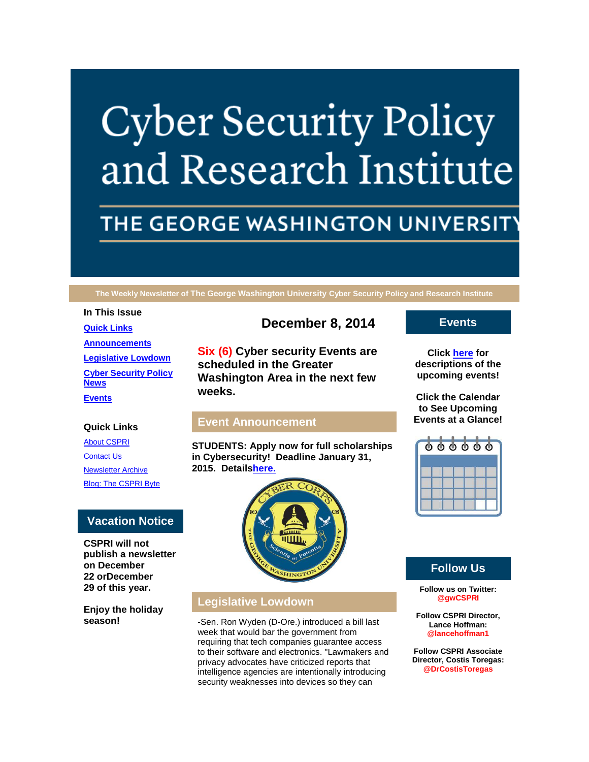# **Cyber Security Policy** and Research Institute

# THE GEORGE WASHINGTON UNIVERSIT

**The Weekly Newsletter of The George Washington University Cyber Security Policy and Research Institute**

## **In This Issue [Quick Links](https://mail.google.com/mail/u/2/#14a2ae613ed8e25b_LETTER.BLOCK5) [Announcements](https://mail.google.com/mail/u/2/#14a2ae613ed8e25b_LETTER.BLOCK22) [Legislative Lowdown](https://mail.google.com/mail/u/2/#14a2ae613ed8e25b_LETTER.BLOCK27) [Cyber Security Policy](https://mail.google.com/mail/u/2/#14a2ae613ed8e25b_LETTER.BLOCK30)  [News](https://mail.google.com/mail/u/2/#14a2ae613ed8e25b_LETTER.BLOCK30)**

**[Events](https://mail.google.com/mail/u/2/#14a2ae613ed8e25b_LETTER.BLOCK34)**

#### **Quick Links**

[About CSPRI](http://r20.rs6.net/tn.jsp?f=0014Ds0OTdh3uiF-R33wuGjTT522NHwLO6phKR7WvMvKDRrKToMcuLolcCqSboY9ZjNdhnIyekYS0-ucRcu750BTY8ym9rdgBYHquZqffEzrWXzE5liVlEZGlyClrhKFRHMk_fWnYqc7_SA0YgxGtC0WRFfGhm7mM4Cf5ToDkdsq6X9g9w3llui37UFXHHNJHiF&c=fykbwU1x9IUi2mdgw2yO0b3IziX5B8GigN6cgEHti5zy4X8jwbE97w==&ch=fGFyJhEgbgKleSaOKuMGXdx3lUJGhXJxQVaTkNh4Cwbu2tD3--jFqQ==) **[Contact Us](http://r20.rs6.net/tn.jsp?f=0014Ds0OTdh3uiF-R33wuGjTT522NHwLO6phKR7WvMvKDRrKToMcuLolcCqSboY9ZjNZKoKBoeMth34xrg7EBiEGeYRPOs2XJz2X2YXy_HQ9QaAGT3e9yc7BgA2q781tt_JqfnEmAqpe0UHhpU-HEc6YLRbvTATMJJlRFYhBnHJXHUA2J4jZICyi-cw57PgtJ_P2uUYsNz0KUI=&c=fykbwU1x9IUi2mdgw2yO0b3IziX5B8GigN6cgEHti5zy4X8jwbE97w==&ch=fGFyJhEgbgKleSaOKuMGXdx3lUJGhXJxQVaTkNh4Cwbu2tD3--jFqQ==)** [Newsletter Archive](http://r20.rs6.net/tn.jsp?f=0014Ds0OTdh3uiF-R33wuGjTT522NHwLO6phKR7WvMvKDRrKToMcuLolcCqSboY9ZjNAQFjn4Kyl5yl9OUtUR8D8OJ-wrp8sJLvatlPl-zM5SNQOm4cKU2XNH2T8QZz2o21vTU-dx9o5S0ABdGfz-51L1oQotGO6HUWoixiYLTClinA3TLhs7Ecw453RYBB_YXLHmhPoLJq6AQ=&c=fykbwU1x9IUi2mdgw2yO0b3IziX5B8GigN6cgEHti5zy4X8jwbE97w==&ch=fGFyJhEgbgKleSaOKuMGXdx3lUJGhXJxQVaTkNh4Cwbu2tD3--jFqQ==) [Blog: The CSPRI Byte](http://r20.rs6.net/tn.jsp?f=0014Ds0OTdh3uiF-R33wuGjTT522NHwLO6phKR7WvMvKDRrKToMcuLolcCqSboY9ZjNDh9aDNQmpP4gxGf1AL4MF0N5PghWRd_E_T9TEvJes2YH-P3XFrKdUEErrl2GCZ3Q1HjT9LECDNEXXY6p2fP5tQTuTGaQ3iTSepj5Kxf47tUap0Y_42HZW7iyvpP_0ON9&c=fykbwU1x9IUi2mdgw2yO0b3IziX5B8GigN6cgEHti5zy4X8jwbE97w==&ch=fGFyJhEgbgKleSaOKuMGXdx3lUJGhXJxQVaTkNh4Cwbu2tD3--jFqQ==)

## **Vacation Notice**

**CSPRI will not publish a newsletter on December 22 orDecember 29 of this year.**

**Enjoy the holiday season!**

# **December 8, 2014**

**Six (6) Cyber security Events are scheduled in the Greater Washington Area in the next few weeks.**

#### **Event Announcement**

**STUDENTS: Apply now for full scholarships in Cybersecurity! Deadline January 31, 2015. Detail[shere.](http://r20.rs6.net/tn.jsp?f=0014Ds0OTdh3uiF-R33wuGjTT522NHwLO6phKR7WvMvKDRrKToMcuLolW5ActXXhv2ZTfSbM05jnc2Zpu-OXZkN-uzSGMD4ZOfh7I8JVfbO6TJ7RHLbF923QBB12hE48QDLxjvNh8w6bG3fSEhlDiAwVZCoQR8tWmR8y1PePtZm4nG5FsheCf91jXV3dMXIeLGy&c=fykbwU1x9IUi2mdgw2yO0b3IziX5B8GigN6cgEHti5zy4X8jwbE97w==&ch=fGFyJhEgbgKleSaOKuMGXdx3lUJGhXJxQVaTkNh4Cwbu2tD3--jFqQ==)**



## **Legislative Lowdown**

-Sen. Ron Wyden (D-Ore.) introduced a bill last week that would bar the government from requiring that tech companies guarantee access to their software and electronics. "Lawmakers and privacy advocates have criticized reports that intelligence agencies are intentionally introducing security weaknesses into devices so they can

**Events**

**Click [here](http://r20.rs6.net/tn.jsp?f=0014Ds0OTdh3uiF-R33wuGjTT522NHwLO6phKR7WvMvKDRrKToMcuLolcCqSboY9ZjNwQ_y4W6IZlfHHXpXwc4mls5-X3glrBH0oq49RmqHrGfTCLak45KfOfAjcaPhF91LRZF88Ck4VosGSyYlOjHeEibdkuvJCh9advCS_GUWlhL6UcgGidQ0O5rVozhyNPKDGIvSEE3kW_aAgC_VR3zKcA==&c=fykbwU1x9IUi2mdgw2yO0b3IziX5B8GigN6cgEHti5zy4X8jwbE97w==&ch=fGFyJhEgbgKleSaOKuMGXdx3lUJGhXJxQVaTkNh4Cwbu2tD3--jFqQ==) for descriptions of the upcoming events!**

**Click the Calendar to See Upcoming Events at a Glance!**



# **Follow Us**

**Follow us on Twitter: @gwCSPRI**

**Follow CSPRI Director, Lance Hoffman: @lancehoffman1**

**Follow CSPRI Associate Director, Costis Toregas: @DrCostisToregas**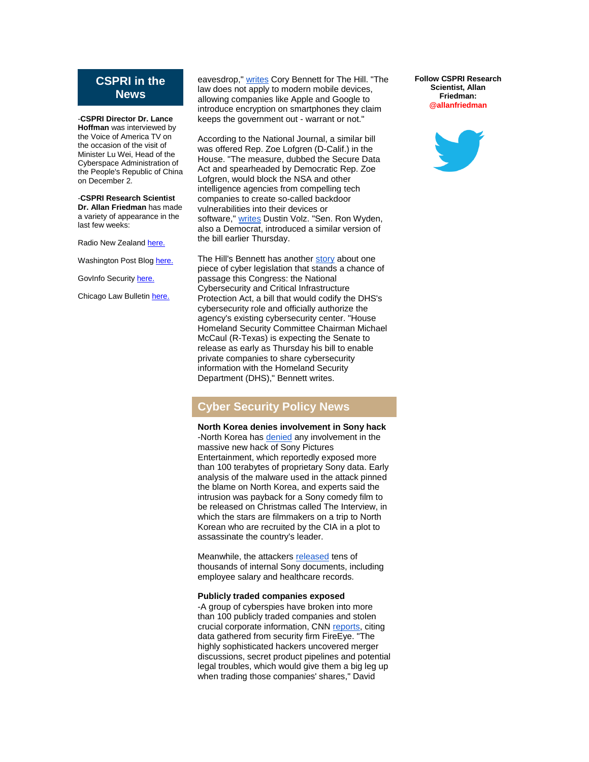#### **CSPRI in the News**

-**CSPRI Director Dr. Lance Hoffman** was interviewed by the Voice of America TV on the occasion of the visit of Minister Lu Wei, Head of the Cyberspace Administration of the People's Republic of China on December 2.

-**CSPRI Research Scientist Dr. Allan Friedman** has made a variety of appearance in the last few weeks:

Radio New Zealand [here.](http://r20.rs6.net/tn.jsp?f=0014Ds0OTdh3uiF-R33wuGjTT522NHwLO6phKR7WvMvKDRrKToMcuLolTt22OGyFOkZpBCQ2FW9Glnl-wTZV8288nY7LKxSutJwq-8uMfBvYgpLPT_sYxlDs_ZBLPqUlMdhtbnpmEHMDEoPjNUeKs2L7O1_c-fW061bLhuH0pdFLgY6IoP83YvIl4_FLUgXB61EXq4ggFUDh5myjhw0ePkuc-g__laPa7AQS8MTlyPgRrYKKH7LJLY316HxsrmawhxZyjzbDkBFs4K4DE99lECgO0czA022O5ELv2_00DSUe4me9dA40dr5BQ==&c=fykbwU1x9IUi2mdgw2yO0b3IziX5B8GigN6cgEHti5zy4X8jwbE97w==&ch=fGFyJhEgbgKleSaOKuMGXdx3lUJGhXJxQVaTkNh4Cwbu2tD3--jFqQ==)

Washington Post Blog [here.](http://r20.rs6.net/tn.jsp?f=0014Ds0OTdh3uiF-R33wuGjTT522NHwLO6phKR7WvMvKDRrKToMcuLolTt22OGyFOkZESnZepsNWIBniPOkxOcJZgLGUyLLyc4PZfAAPM28dKKBKJEnEBQUdLZe8WBA-jszaLfxf3EEwfIQClx8OrzL5CrazW7Ust4EaEUJZdDBjEMDC3BV4Z4O7GtYAHaqLMEVu0VJHmS-mHs3fTdoywb2gtsW2n0gYSORjWIjWlc5NzDTIFPONGd9vHAuXqREfRBFw1Snccot9OPwRgwvZokABEE9NA4eiwBUbhndKAWBY3fPBkjHw4ASwXY6jFgiqmwNjIcZYp74mig=&c=fykbwU1x9IUi2mdgw2yO0b3IziX5B8GigN6cgEHti5zy4X8jwbE97w==&ch=fGFyJhEgbgKleSaOKuMGXdx3lUJGhXJxQVaTkNh4Cwbu2tD3--jFqQ==)

GovInfo Security [here.](http://r20.rs6.net/tn.jsp?f=0014Ds0OTdh3uiF-R33wuGjTT522NHwLO6phKR7WvMvKDRrKToMcuLolTt22OGyFOkZE7gjNqneM-hB4V5Nw7RpVNHN9rJueqYsedac6k_-rNVqdhKrMcKgv0Zby1a_mNcwvojegORVPHMMQ6-ZkoZhhXvvYPJoV1N1SKSns8bzC6eEsgf0M7xlR51at2PTfkPMn5nf3VU2_hxtjl_czb_D2Bpb75lrRoeCn6SyY0rJ4V4=&c=fykbwU1x9IUi2mdgw2yO0b3IziX5B8GigN6cgEHti5zy4X8jwbE97w==&ch=fGFyJhEgbgKleSaOKuMGXdx3lUJGhXJxQVaTkNh4Cwbu2tD3--jFqQ==)

Chicago Law Bulletin [here.](http://r20.rs6.net/tn.jsp?f=0014Ds0OTdh3uiF-R33wuGjTT522NHwLO6phKR7WvMvKDRrKToMcuLolTt22OGyFOkZOlbuEsx9UuwtziM2MGBizd8QxLPDpD9nhjnLNmi4mXXNUT2TZ2XUr3y3djRHEZSYEWemeMomC5I_AFRAI_CIhxqOYn9k18Y4l4BNhyT6g5fbY9CR_iJjxteFvyHUyB7mjNMw_U8YrQUxTstzclSgCiPe1D6Ltgig6fVnPaEjSv5eLhIQi68EAVKLAXulbx1UbAhFl30_61_X9MG7xlscDg==&c=fykbwU1x9IUi2mdgw2yO0b3IziX5B8GigN6cgEHti5zy4X8jwbE97w==&ch=fGFyJhEgbgKleSaOKuMGXdx3lUJGhXJxQVaTkNh4Cwbu2tD3--jFqQ==)

eavesdrop," [writes](http://r20.rs6.net/tn.jsp?f=0014Ds0OTdh3uiF-R33wuGjTT522NHwLO6phKR7WvMvKDRrKToMcuLolTt22OGyFOkZHNxMaVo-m6jKJMNEs4RXRiEjj0zmznhAtXZ9Uf_L9WMExNz4tGAZNha3hYl8osim7Ke9MNPe_rUf2LUX4gJWpw5KSEk0dZ_lST08kX-JUEg8JlILtMqPsbwyMQzKhkR80JIVY175N_OdbndlqHe1HCF7iolPs7AoNZUKMqAj79gAaTDSmlJCeA0t0cBnVbEW4J2icriul6c4NdB2ZPkqWUhXGupthrVK&c=fykbwU1x9IUi2mdgw2yO0b3IziX5B8GigN6cgEHti5zy4X8jwbE97w==&ch=fGFyJhEgbgKleSaOKuMGXdx3lUJGhXJxQVaTkNh4Cwbu2tD3--jFqQ==) Cory Bennett for The Hill. "The law does not apply to modern mobile devices, allowing companies like Apple and Google to introduce encryption on smartphones they claim keeps the government out - warrant or not."

According to the National Journal, a similar bill was offered Rep. Zoe Lofgren (D-Calif.) in the House. "The measure, dubbed the Secure Data Act and spearheaded by Democratic Rep. Zoe Lofgren, would block the NSA and other intelligence agencies from compelling tech companies to create so-called backdoor vulnerabilities into their devices or software," [writes](http://r20.rs6.net/tn.jsp?f=0014Ds0OTdh3uiF-R33wuGjTT522NHwLO6phKR7WvMvKDRrKToMcuLolTt22OGyFOkZ1QFLu6iJSm1wyFrSwiEi78ACDTZS8C4LC8SlMAoGLhbfbo9_Af6n7tvVT5LxbVhT2HilrJe2E5q5BtFTsyCmrR3KbtmhMK0BhgcrRSZHbnBvxGa1ioJ3BTIOHdC-YiO2aOpl_3nVZzxL4awe6JPnfKIcTORvX46eNgEUQyAJxgW5tbZMfz-F5pa2_ybUk1gckoRtVAGKXPd9SD_dkrFNrlS9M2u04BI0&c=fykbwU1x9IUi2mdgw2yO0b3IziX5B8GigN6cgEHti5zy4X8jwbE97w==&ch=fGFyJhEgbgKleSaOKuMGXdx3lUJGhXJxQVaTkNh4Cwbu2tD3--jFqQ==) Dustin Volz. "Sen. Ron Wyden, also a Democrat, introduced a similar version of the bill earlier Thursday.

The Hill's Bennett has another [story](http://r20.rs6.net/tn.jsp?f=0014Ds0OTdh3uiF-R33wuGjTT522NHwLO6phKR7WvMvKDRrKToMcuLolTt22OGyFOkZgq5bV69WdQ9zEp3xvjEM_L2sfaAdhJOvT4vxJV5l3f9Xw8Ds9QOFohF4f_t1t8YiGlJFUEknSGQPm008ZsZ1HyJ29sw84a9u5gB6_jPq6FGFl77AlBMID196UDXyGdppehoOK5YMbtFTQ5BV5SaaaV4wEAhqQJkDWMx6O-TEKPDmZcY9ZTfEaoeuf2fG6FzP&c=fykbwU1x9IUi2mdgw2yO0b3IziX5B8GigN6cgEHti5zy4X8jwbE97w==&ch=fGFyJhEgbgKleSaOKuMGXdx3lUJGhXJxQVaTkNh4Cwbu2tD3--jFqQ==) about one piece of cyber legislation that stands a chance of passage this Congress: the National Cybersecurity and Critical Infrastructure Protection Act, a bill that would codify the DHS's cybersecurity role and officially authorize the agency's existing cybersecurity center. "House Homeland Security Committee Chairman Michael McCaul (R-Texas) is expecting the Senate to release as early as Thursday his bill to enable private companies to share cybersecurity information with the Homeland Security Department (DHS)," Bennett writes.

# **Cyber Security Policy News**

**North Korea denies involvement in Sony hack** -North Korea has [denied](http://r20.rs6.net/tn.jsp?f=0014Ds0OTdh3uiF-R33wuGjTT522NHwLO6phKR7WvMvKDRrKToMcuLolTt22OGyFOkZQPaMm8vOmk_vfMaISUiZ63AbnMzdi48OoUh5mJrTD4HGHpsQ9tc7tFDANiYUM9TwD_rzh8TpTZmfI7wTOMn2dgscMoWD0vsFVuwPxAqo6VYjozkOPQPWQi3_ZDLiulyi42qqmTzUeEk9wG03el9SfL_cAOQ081BVZj6hWKxhxIICNL0ZpL6I5jkRDP7kFxxXwBLB9-hhkz94HpdAfxUlW4Ij0f3zL96wT-aEAMYXJ_uMkpYJsmAPkwizuBiW9rXZ&c=fykbwU1x9IUi2mdgw2yO0b3IziX5B8GigN6cgEHti5zy4X8jwbE97w==&ch=fGFyJhEgbgKleSaOKuMGXdx3lUJGhXJxQVaTkNh4Cwbu2tD3--jFqQ==) any involvement in the massive new hack of Sony Pictures Entertainment, which reportedly exposed more than 100 terabytes of proprietary Sony data. Early analysis of the malware used in the attack pinned the blame on North Korea, and experts said the intrusion was payback for a Sony comedy film to be released on Christmas called The Interview, in which the stars are filmmakers on a trip to North Korean who are recruited by the CIA in a plot to assassinate the country's leader.

Meanwhile, the attackers [released](http://r20.rs6.net/tn.jsp?f=0014Ds0OTdh3uiF-R33wuGjTT522NHwLO6phKR7WvMvKDRrKToMcuLolTt22OGyFOkZgoFGV83UKUKGXqUCuDBgxDKdYgerNIxsk-Ekp4_KFOVKrgMCAx1lfAXYAsgj_BLf_WrtxsatED_D-GXjmoLRB8qd8hFX96O3hCUGXa4Qjy5hQ5IPWjH2RImOaRDp7rk6Mdzw26SVsFRM-uNW3D1NisjVADuw3rS_Acox7YmfeDScRfGaVq7DaELTSBCdT50clT-PGXCohsCqB5D43t6ebg==&c=fykbwU1x9IUi2mdgw2yO0b3IziX5B8GigN6cgEHti5zy4X8jwbE97w==&ch=fGFyJhEgbgKleSaOKuMGXdx3lUJGhXJxQVaTkNh4Cwbu2tD3--jFqQ==) tens of thousands of internal Sony documents, including employee salary and healthcare records.

#### **Publicly traded companies exposed**

-A group of cyberspies have broken into more than 100 publicly traded companies and stolen crucial corporate information, CNN [reports,](http://r20.rs6.net/tn.jsp?f=0014Ds0OTdh3uiF-R33wuGjTT522NHwLO6phKR7WvMvKDRrKToMcuLolTt22OGyFOkZgf8Fi8Wiq3PnMOu4biS3XoS56j60zKj_QH4sldLOa-QgTTYFzpJMSC4nalk3vpPJRLlaU44SzCLgAyFxT5W6mgg_GkVlc99syyrwb9ll6LdR1BpfvMU1_A5nBwH5P0aL38vzRGxDUF7iSIY_OQyv1dLmiJJIA70qsXhG3z0H2vGbjrys1hi01Dk6fvW5vF1aPMroJlIfWWo=&c=fykbwU1x9IUi2mdgw2yO0b3IziX5B8GigN6cgEHti5zy4X8jwbE97w==&ch=fGFyJhEgbgKleSaOKuMGXdx3lUJGhXJxQVaTkNh4Cwbu2tD3--jFqQ==) citing data gathered from security firm FireEye. "The highly sophisticated hackers uncovered merger discussions, secret product pipelines and potential legal troubles, which would give them a big leg up when trading those companies' shares," David

**Follow CSPRI Research Scientist, Allan Friedman: @allanfriedman**

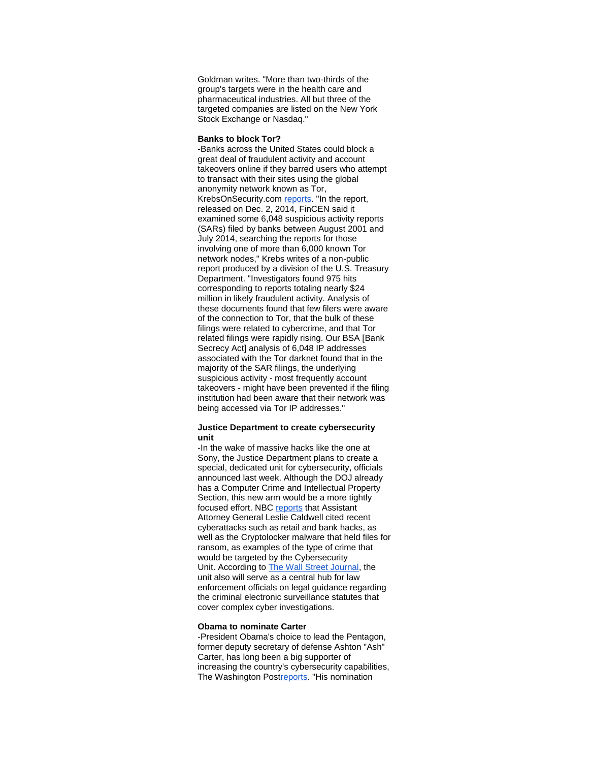Goldman writes. "More than two-thirds of the group's targets were in the health care and pharmaceutical industries. All but three of the targeted companies are listed on the New York Stock Exchange or Nasdaq."

#### **Banks to block Tor?**

-Banks across the United States could block a great deal of fraudulent activity and account takeovers online if they barred users who attempt to transact with their sites using the global anonymity network known as Tor, KrebsOnSecurity.com [reports.](http://r20.rs6.net/tn.jsp?f=0014Ds0OTdh3uiF-R33wuGjTT522NHwLO6phKR7WvMvKDRrKToMcuLolTt22OGyFOkZWbmSIoq2w120_QilqEhUEBaNnd__echprQ2Wke4aY20aY43KflgopKWXAtHbj_VJwo8GTDLnUb4Uk69ytUs7u-6SwPi4_YgSgSBK_g2Wfn4AXklyudtJxEHKF6F42kGvhIZg5B0yJJyXL2-94qzD-RA--lQcHQVoKcAKhwnK8c0uIZYOL3jPDQ8uniqQzTzy&c=fykbwU1x9IUi2mdgw2yO0b3IziX5B8GigN6cgEHti5zy4X8jwbE97w==&ch=fGFyJhEgbgKleSaOKuMGXdx3lUJGhXJxQVaTkNh4Cwbu2tD3--jFqQ==) "In the report, released on Dec. 2, 2014, FinCEN said it examined some 6,048 suspicious activity reports (SARs) filed by banks between August 2001 and July 2014, searching the reports for those involving one of more than 6,000 known Tor network nodes," Krebs writes of a non-public report produced by a division of the U.S. Treasury Department. "Investigators found 975 hits corresponding to reports totaling nearly \$24 million in likely fraudulent activity. Analysis of these documents found that few filers were aware of the connection to Tor, that the bulk of these filings were related to cybercrime, and that Tor related filings were rapidly rising. Our BSA [Bank Secrecy Act] analysis of 6,048 IP addresses associated with the Tor darknet found that in the majority of the SAR filings, the underlying suspicious activity - most frequently account takeovers - might have been prevented if the filing institution had been aware that their network was being accessed via Tor IP addresses."

#### **Justice Department to create cybersecurity unit**

-In the wake of massive hacks like the one at Sony, the Justice Department plans to create a special, dedicated unit for cybersecurity, officials announced last week. Although the DOJ already has a Computer Crime and Intellectual Property Section, this new arm would be a more tightly focused effort. NBC [reports](http://r20.rs6.net/tn.jsp?f=0014Ds0OTdh3uiF-R33wuGjTT522NHwLO6phKR7WvMvKDRrKToMcuLolTt22OGyFOkZsKyZBIVKJluQgP0ANcZZgeyOaCfYARllIje3Mb5hOWQxxHikZLME9xR4rW4-kPjC9jEQT4a5-MrADrTLaK4zOi6FnzSDe24oOCmRvzxRVRQCUynpNaEsRpV9HDeKlVbFTDRIjWytAkFc5npi2trVEksQit-IQ_bfS0CQ9kYBPihFnZorCbqqfEf7Hx17j-Oq7nSo58D_8-Vq1lxM6b_P2PwjeTqBrh_a&c=fykbwU1x9IUi2mdgw2yO0b3IziX5B8GigN6cgEHti5zy4X8jwbE97w==&ch=fGFyJhEgbgKleSaOKuMGXdx3lUJGhXJxQVaTkNh4Cwbu2tD3--jFqQ==) that Assistant Attorney General Leslie Caldwell cited recent cyberattacks such as retail and bank hacks, as well as the [Cryptolocker malware](http://r20.rs6.net/tn.jsp?f=0014Ds0OTdh3uiF-R33wuGjTT522NHwLO6phKR7WvMvKDRrKToMcuLolTt22OGyFOkZ4hB-FcikSf8N6sC0Yhv1PtXYpzwSgVGIk017Jq4c0n_hmC2mcya_spPx08rkqQLNGLQPJl-HN2IFdovzgOf20PqkMvNjumtg6Pm2Z4IREv9QThvvqQascCeHMyrQINaQ6XSGfpQ0jfwNNK8iOfj9aFFuWAHoWLqAiR4fIGldCdNlVLi3pGZGTlaEhxutnmwFHYciZa22M-0Tea1YYaJscw==&c=fykbwU1x9IUi2mdgw2yO0b3IziX5B8GigN6cgEHti5zy4X8jwbE97w==&ch=fGFyJhEgbgKleSaOKuMGXdx3lUJGhXJxQVaTkNh4Cwbu2tD3--jFqQ==) that held files for ransom, as examples of the type of crime that would be targeted by the Cybersecurity Unit. According to [The Wall Street Journal,](http://r20.rs6.net/tn.jsp?f=0014Ds0OTdh3uiF-R33wuGjTT522NHwLO6phKR7WvMvKDRrKToMcuLolTt22OGyFOkZFyBnxuXmJSFYAa508QrePBJBz65ArQWbwAThysbDCgxO52ASqvDyPG6M7TgR40g61lpIaBRVZlUAZ83tXE53eRaNk6TrLJHjMUdZ2YS-8t1959zE9hbaaZVHXr7XSYOjTS9g_z84xSZy7CPWt4Rk9n2QvnxDqjexhdNpRJj-mHsq-kC4Mlk3GLDhJvH3ovYEgY_kch8R5mc=&c=fykbwU1x9IUi2mdgw2yO0b3IziX5B8GigN6cgEHti5zy4X8jwbE97w==&ch=fGFyJhEgbgKleSaOKuMGXdx3lUJGhXJxQVaTkNh4Cwbu2tD3--jFqQ==) the unit also will serve as a central hub for law enforcement officials on legal guidance regarding the criminal electronic surveillance statutes that cover complex cyber investigations.

#### **Obama to nominate Carter**

-President Obama's choice to lead the Pentagon, former deputy secretary of defense Ashton "Ash" Carter, has long been a big supporter of increasing the country's cybersecurity capabilities, The Washington Po[streports.](http://r20.rs6.net/tn.jsp?f=0014Ds0OTdh3uiF-R33wuGjTT522NHwLO6phKR7WvMvKDRrKToMcuLolTt22OGyFOkZBVI-MfA_w1E24ZjunYlrSUJfmkDwmZcCjZqnkia4WtB-PESxroRHsEzNAX2S70G2dOEAxMB1Xc-bjR4rd7nwSc-EEgmlbaaCd0pImwyl3QJ_BFYPKrYAlmjNB_jteeHtRI_v2k3nUWnuAS73EgbRNoWRvWwhhfVvdRaKN23mZt4H-zpq_u5d5oYq-iaTVI0yy7kvEFFHVHlKxRSNaibtr5ONwWCnLzLrcc147XDv5B--jrKVW-fpJMQfrmhPiNVA&c=fykbwU1x9IUi2mdgw2yO0b3IziX5B8GigN6cgEHti5zy4X8jwbE97w==&ch=fGFyJhEgbgKleSaOKuMGXdx3lUJGhXJxQVaTkNh4Cwbu2tD3--jFqQ==) "His nomination